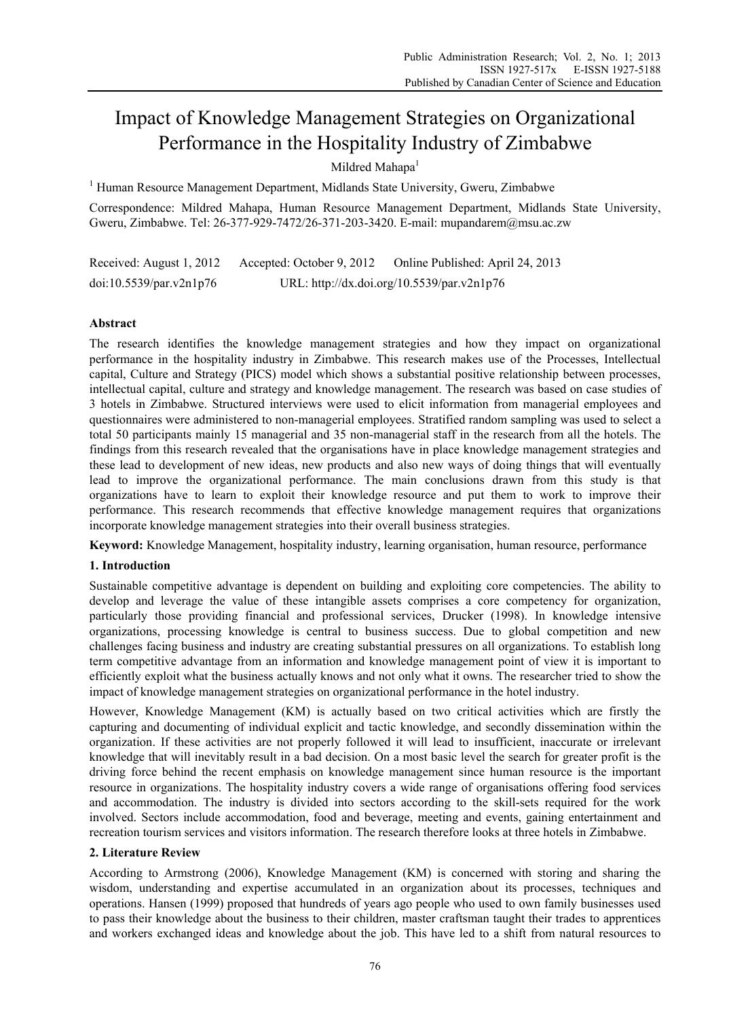# Impact of Knowledge Management Strategies on Organizational Performance in the Hospitality Industry of Zimbabwe

Mildred Mahapa<sup>1</sup>

<sup>1</sup> Human Resource Management Department, Midlands State University, Gweru, Zimbabwe

Correspondence: Mildred Mahapa, Human Resource Management Department, Midlands State University, Gweru, Zimbabwe. Tel: 26-377-929-7472/26-371-203-3420. E-mail: mupandarem@msu.ac.zw

Received: August 1, 2012 Accepted: October 9, 2012 Online Published: April 24, 2013 doi:10.5539/par.v2n1p76 URL: http://dx.doi.org/10.5539/par.v2n1p76

# **Abstract**

The research identifies the knowledge management strategies and how they impact on organizational performance in the hospitality industry in Zimbabwe. This research makes use of the Processes, Intellectual capital, Culture and Strategy (PICS) model which shows a substantial positive relationship between processes, intellectual capital, culture and strategy and knowledge management. The research was based on case studies of 3 hotels in Zimbabwe. Structured interviews were used to elicit information from managerial employees and questionnaires were administered to non-managerial employees. Stratified random sampling was used to select a total 50 participants mainly 15 managerial and 35 non-managerial staff in the research from all the hotels. The findings from this research revealed that the organisations have in place knowledge management strategies and these lead to development of new ideas, new products and also new ways of doing things that will eventually lead to improve the organizational performance. The main conclusions drawn from this study is that organizations have to learn to exploit their knowledge resource and put them to work to improve their performance. This research recommends that effective knowledge management requires that organizations incorporate knowledge management strategies into their overall business strategies.

**Keyword:** Knowledge Management, hospitality industry, learning organisation, human resource, performance

### **1. Introduction**

Sustainable competitive advantage is dependent on building and exploiting core competencies. The ability to develop and leverage the value of these intangible assets comprises a core competency for organization, particularly those providing financial and professional services, Drucker (1998). In knowledge intensive organizations, processing knowledge is central to business success. Due to global competition and new challenges facing business and industry are creating substantial pressures on all organizations. To establish long term competitive advantage from an information and knowledge management point of view it is important to efficiently exploit what the business actually knows and not only what it owns. The researcher tried to show the impact of knowledge management strategies on organizational performance in the hotel industry.

However, Knowledge Management (KM) is actually based on two critical activities which are firstly the capturing and documenting of individual explicit and tactic knowledge, and secondly dissemination within the organization. If these activities are not properly followed it will lead to insufficient, inaccurate or irrelevant knowledge that will inevitably result in a bad decision. On a most basic level the search for greater profit is the driving force behind the recent emphasis on knowledge management since human resource is the important resource in organizations. The hospitality industry covers a wide range of organisations offering food services and accommodation. The industry is divided into sectors according to the skill-sets required for the work involved. Sectors include accommodation, food and beverage, meeting and events, gaining entertainment and recreation tourism services and visitors information. The research therefore looks at three hotels in Zimbabwe.

### **2. Literature Review**

According to Armstrong (2006), Knowledge Management (KM) is concerned with storing and sharing the wisdom, understanding and expertise accumulated in an organization about its processes, techniques and operations. Hansen (1999) proposed that hundreds of years ago people who used to own family businesses used to pass their knowledge about the business to their children, master craftsman taught their trades to apprentices and workers exchanged ideas and knowledge about the job. This have led to a shift from natural resources to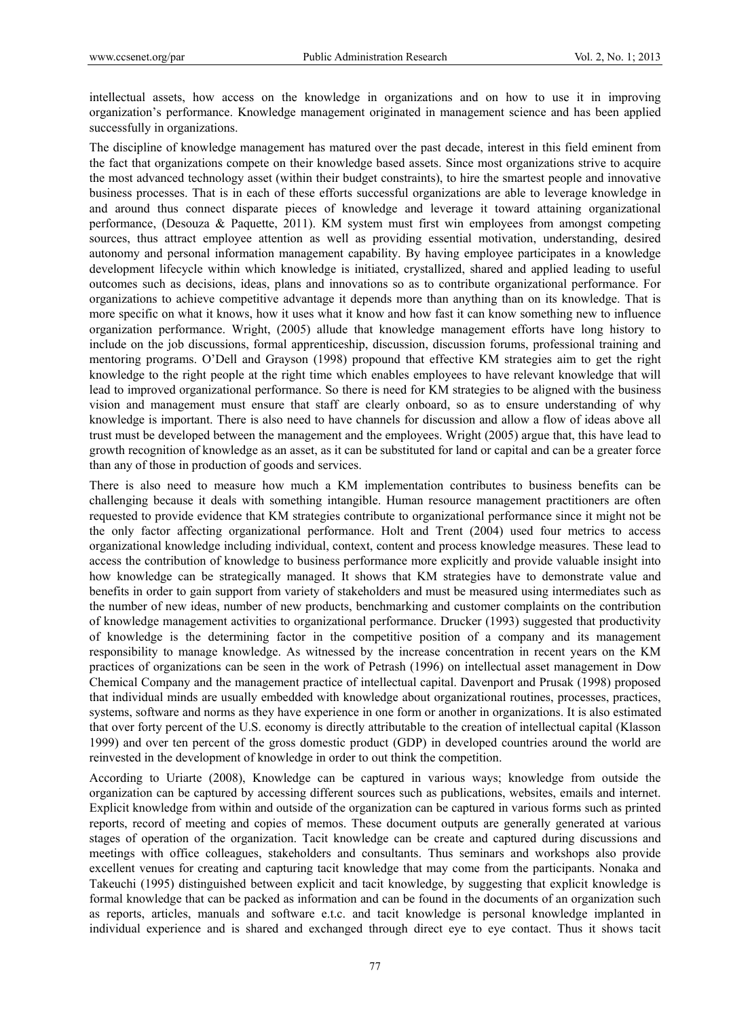intellectual assets, how access on the knowledge in organizations and on how to use it in improving organization's performance. Knowledge management originated in management science and has been applied successfully in organizations.

The discipline of knowledge management has matured over the past decade, interest in this field eminent from the fact that organizations compete on their knowledge based assets. Since most organizations strive to acquire the most advanced technology asset (within their budget constraints), to hire the smartest people and innovative business processes. That is in each of these efforts successful organizations are able to leverage knowledge in and around thus connect disparate pieces of knowledge and leverage it toward attaining organizational performance, (Desouza & Paquette, 2011). KM system must first win employees from amongst competing sources, thus attract employee attention as well as providing essential motivation, understanding, desired autonomy and personal information management capability. By having employee participates in a knowledge development lifecycle within which knowledge is initiated, crystallized, shared and applied leading to useful outcomes such as decisions, ideas, plans and innovations so as to contribute organizational performance. For organizations to achieve competitive advantage it depends more than anything than on its knowledge. That is more specific on what it knows, how it uses what it know and how fast it can know something new to influence organization performance. Wright, (2005) allude that knowledge management efforts have long history to include on the job discussions, formal apprenticeship, discussion, discussion forums, professional training and mentoring programs. O'Dell and Grayson (1998) propound that effective KM strategies aim to get the right knowledge to the right people at the right time which enables employees to have relevant knowledge that will lead to improved organizational performance. So there is need for KM strategies to be aligned with the business vision and management must ensure that staff are clearly onboard, so as to ensure understanding of why knowledge is important. There is also need to have channels for discussion and allow a flow of ideas above all trust must be developed between the management and the employees. Wright (2005) argue that, this have lead to growth recognition of knowledge as an asset, as it can be substituted for land or capital and can be a greater force than any of those in production of goods and services.

There is also need to measure how much a KM implementation contributes to business benefits can be challenging because it deals with something intangible. Human resource management practitioners are often requested to provide evidence that KM strategies contribute to organizational performance since it might not be the only factor affecting organizational performance. Holt and Trent (2004) used four metrics to access organizational knowledge including individual, context, content and process knowledge measures. These lead to access the contribution of knowledge to business performance more explicitly and provide valuable insight into how knowledge can be strategically managed. It shows that KM strategies have to demonstrate value and benefits in order to gain support from variety of stakeholders and must be measured using intermediates such as the number of new ideas, number of new products, benchmarking and customer complaints on the contribution of knowledge management activities to organizational performance. Drucker (1993) suggested that productivity of knowledge is the determining factor in the competitive position of a company and its management responsibility to manage knowledge. As witnessed by the increase concentration in recent years on the KM practices of organizations can be seen in the work of Petrash (1996) on intellectual asset management in Dow Chemical Company and the management practice of intellectual capital. Davenport and Prusak (1998) proposed that individual minds are usually embedded with knowledge about organizational routines, processes, practices, systems, software and norms as they have experience in one form or another in organizations. It is also estimated that over forty percent of the U.S. economy is directly attributable to the creation of intellectual capital (Klasson 1999) and over ten percent of the gross domestic product (GDP) in developed countries around the world are reinvested in the development of knowledge in order to out think the competition.

According to Uriarte (2008), Knowledge can be captured in various ways; knowledge from outside the organization can be captured by accessing different sources such as publications, websites, emails and internet. Explicit knowledge from within and outside of the organization can be captured in various forms such as printed reports, record of meeting and copies of memos. These document outputs are generally generated at various stages of operation of the organization. Tacit knowledge can be create and captured during discussions and meetings with office colleagues, stakeholders and consultants. Thus seminars and workshops also provide excellent venues for creating and capturing tacit knowledge that may come from the participants. Nonaka and Takeuchi (1995) distinguished between explicit and tacit knowledge, by suggesting that explicit knowledge is formal knowledge that can be packed as information and can be found in the documents of an organization such as reports, articles, manuals and software e.t.c. and tacit knowledge is personal knowledge implanted in individual experience and is shared and exchanged through direct eye to eye contact. Thus it shows tacit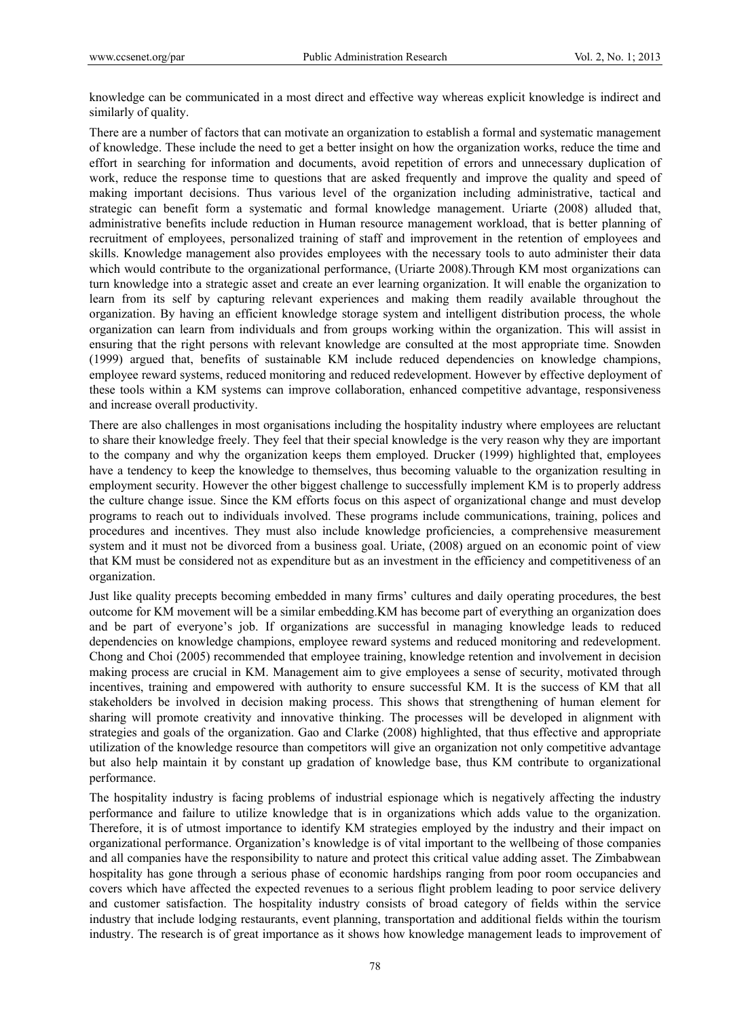knowledge can be communicated in a most direct and effective way whereas explicit knowledge is indirect and similarly of quality.

There are a number of factors that can motivate an organization to establish a formal and systematic management of knowledge. These include the need to get a better insight on how the organization works, reduce the time and effort in searching for information and documents, avoid repetition of errors and unnecessary duplication of work, reduce the response time to questions that are asked frequently and improve the quality and speed of making important decisions. Thus various level of the organization including administrative, tactical and strategic can benefit form a systematic and formal knowledge management. Uriarte (2008) alluded that, administrative benefits include reduction in Human resource management workload, that is better planning of recruitment of employees, personalized training of staff and improvement in the retention of employees and skills. Knowledge management also provides employees with the necessary tools to auto administer their data which would contribute to the organizational performance, (Uriarte 2008). Through KM most organizations can turn knowledge into a strategic asset and create an ever learning organization. It will enable the organization to learn from its self by capturing relevant experiences and making them readily available throughout the organization. By having an efficient knowledge storage system and intelligent distribution process, the whole organization can learn from individuals and from groups working within the organization. This will assist in ensuring that the right persons with relevant knowledge are consulted at the most appropriate time. Snowden (1999) argued that, benefits of sustainable KM include reduced dependencies on knowledge champions, employee reward systems, reduced monitoring and reduced redevelopment. However by effective deployment of these tools within a KM systems can improve collaboration, enhanced competitive advantage, responsiveness and increase overall productivity.

There are also challenges in most organisations including the hospitality industry where employees are reluctant to share their knowledge freely. They feel that their special knowledge is the very reason why they are important to the company and why the organization keeps them employed. Drucker (1999) highlighted that, employees have a tendency to keep the knowledge to themselves, thus becoming valuable to the organization resulting in employment security. However the other biggest challenge to successfully implement KM is to properly address the culture change issue. Since the KM efforts focus on this aspect of organizational change and must develop programs to reach out to individuals involved. These programs include communications, training, polices and procedures and incentives. They must also include knowledge proficiencies, a comprehensive measurement system and it must not be divorced from a business goal. Uriate,  $(2008)$  argued on an economic point of view that KM must be considered not as expenditure but as an investment in the efficiency and competitiveness of an organization.

Just like quality precepts becoming embedded in many firms' cultures and daily operating procedures, the best outcome for KM movement will be a similar embedding.KM has become part of everything an organization does and be part of everyone's job. If organizations are successful in managing knowledge leads to reduced dependencies on knowledge champions, employee reward systems and reduced monitoring and redevelopment. Chong and Choi (2005) recommended that employee training, knowledge retention and involvement in decision making process are crucial in KM. Management aim to give employees a sense of security, motivated through incentives, training and empowered with authority to ensure successful KM. It is the success of KM that all stakeholders be involved in decision making process. This shows that strengthening of human element for sharing will promote creativity and innovative thinking. The processes will be developed in alignment with strategies and goals of the organization. Gao and Clarke (2008) highlighted, that thus effective and appropriate utilization of the knowledge resource than competitors will give an organization not only competitive advantage but also help maintain it by constant up gradation of knowledge base, thus KM contribute to organizational performance.

The hospitality industry is facing problems of industrial espionage which is negatively affecting the industry performance and failure to utilize knowledge that is in organizations which adds value to the organization. Therefore, it is of utmost importance to identify KM strategies employed by the industry and their impact on organizational performance. Organization's knowledge is of vital important to the wellbeing of those companies and all companies have the responsibility to nature and protect this critical value adding asset. The Zimbabwean hospitality has gone through a serious phase of economic hardships ranging from poor room occupancies and covers which have affected the expected revenues to a serious flight problem leading to poor service delivery and customer satisfaction. The hospitality industry consists of broad category of fields within the service industry that include lodging restaurants, event planning, transportation and additional fields within the tourism industry. The research is of great importance as it shows how knowledge management leads to improvement of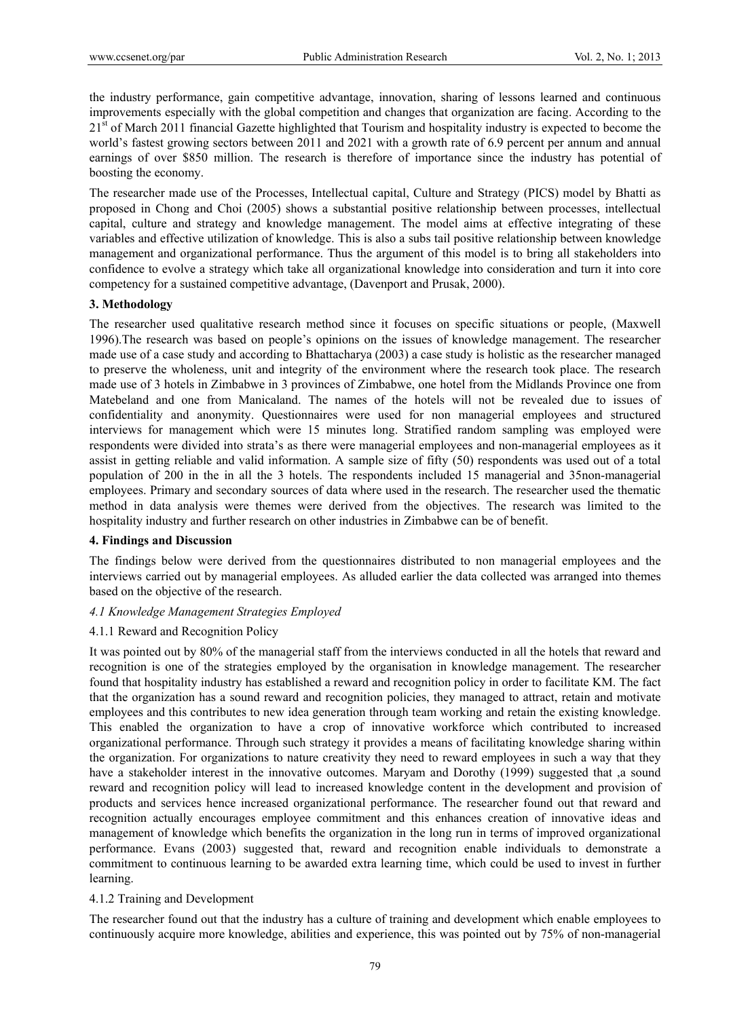the industry performance, gain competitive advantage, innovation, sharing of lessons learned and continuous improvements especially with the global competition and changes that organization are facing. According to the 21<sup>st</sup> of March 2011 financial Gazette highlighted that Tourism and hospitality industry is expected to become the world's fastest growing sectors between 2011 and 2021 with a growth rate of 6.9 percent per annum and annual earnings of over \$850 million. The research is therefore of importance since the industry has potential of boosting the economy.

The researcher made use of the Processes, Intellectual capital, Culture and Strategy (PICS) model by Bhatti as proposed in Chong and Choi (2005) shows a substantial positive relationship between processes, intellectual capital, culture and strategy and knowledge management. The model aims at effective integrating of these variables and effective utilization of knowledge. This is also a subs tail positive relationship between knowledge management and organizational performance. Thus the argument of this model is to bring all stakeholders into confidence to evolve a strategy which take all organizational knowledge into consideration and turn it into core competency for a sustained competitive advantage, (Davenport and Prusak, 2000).

### **3. Methodology**

The researcher used qualitative research method since it focuses on specific situations or people, (Maxwell 1996).The research was based on people's opinions on the issues of knowledge management. The researcher made use of a case study and according to Bhattacharya (2003) a case study is holistic as the researcher managed to preserve the wholeness, unit and integrity of the environment where the research took place. The research made use of 3 hotels in Zimbabwe in 3 provinces of Zimbabwe, one hotel from the Midlands Province one from Matebeland and one from Manicaland. The names of the hotels will not be revealed due to issues of confidentiality and anonymity. Questionnaires were used for non managerial employees and structured interviews for management which were 15 minutes long. Stratified random sampling was employed were respondents were divided into strata's as there were managerial employees and non-managerial employees as it assist in getting reliable and valid information. A sample size of fifty (50) respondents was used out of a total population of 200 in the in all the 3 hotels. The respondents included 15 managerial and 35non-managerial employees. Primary and secondary sources of data where used in the research. The researcher used the thematic method in data analysis were themes were derived from the objectives. The research was limited to the hospitality industry and further research on other industries in Zimbabwe can be of benefit.

### **4. Findings and Discussion**

The findings below were derived from the questionnaires distributed to non managerial employees and the interviews carried out by managerial employees. As alluded earlier the data collected was arranged into themes based on the objective of the research.

### *4.1 Knowledge Management Strategies Employed*

### 4.1.1 Reward and Recognition Policy

It was pointed out by 80% of the managerial staff from the interviews conducted in all the hotels that reward and recognition is one of the strategies employed by the organisation in knowledge management. The researcher found that hospitality industry has established a reward and recognition policy in order to facilitate KM. The fact that the organization has a sound reward and recognition policies, they managed to attract, retain and motivate employees and this contributes to new idea generation through team working and retain the existing knowledge. This enabled the organization to have a crop of innovative workforce which contributed to increased organizational performance. Through such strategy it provides a means of facilitating knowledge sharing within the organization. For organizations to nature creativity they need to reward employees in such a way that they have a stakeholder interest in the innovative outcomes. Maryam and Dorothy (1999) suggested that ,a sound reward and recognition policy will lead to increased knowledge content in the development and provision of products and services hence increased organizational performance. The researcher found out that reward and recognition actually encourages employee commitment and this enhances creation of innovative ideas and management of knowledge which benefits the organization in the long run in terms of improved organizational performance. Evans (2003) suggested that, reward and recognition enable individuals to demonstrate a commitment to continuous learning to be awarded extra learning time, which could be used to invest in further learning.

### 4.1.2 Training and Development

The researcher found out that the industry has a culture of training and development which enable employees to continuously acquire more knowledge, abilities and experience, this was pointed out by 75% of non-managerial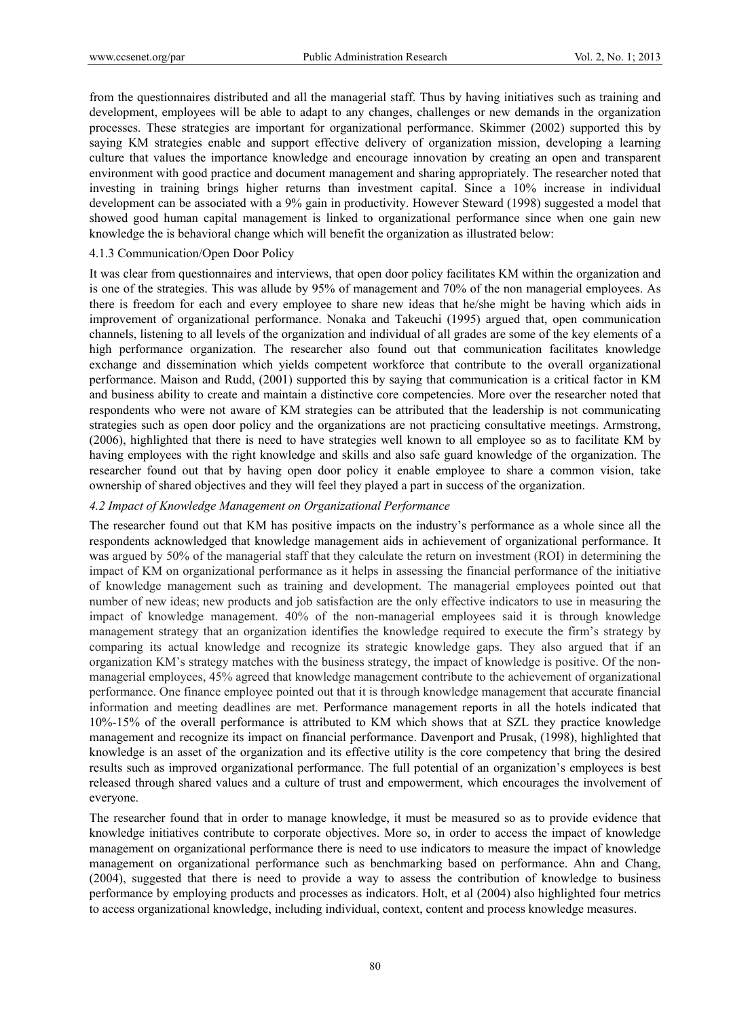from the questionnaires distributed and all the managerial staff. Thus by having initiatives such as training and development, employees will be able to adapt to any changes, challenges or new demands in the organization processes. These strategies are important for organizational performance. Skimmer (2002) supported this by saying KM strategies enable and support effective delivery of organization mission, developing a learning culture that values the importance knowledge and encourage innovation by creating an open and transparent environment with good practice and document management and sharing appropriately. The researcher noted that investing in training brings higher returns than investment capital. Since a 10% increase in individual development can be associated with a 9% gain in productivity. However Steward (1998) suggested a model that showed good human capital management is linked to organizational performance since when one gain new knowledge the is behavioral change which will benefit the organization as illustrated below:

#### 4.1.3 Communication/Open Door Policy

It was clear from questionnaires and interviews, that open door policy facilitates KM within the organization and is one of the strategies. This was allude by 95% of management and 70% of the non managerial employees. As there is freedom for each and every employee to share new ideas that he/she might be having which aids in improvement of organizational performance. Nonaka and Takeuchi (1995) argued that, open communication channels, listening to all levels of the organization and individual of all grades are some of the key elements of a high performance organization. The researcher also found out that communication facilitates knowledge exchange and dissemination which yields competent workforce that contribute to the overall organizational performance. Maison and Rudd, (2001) supported this by saying that communication is a critical factor in KM and business ability to create and maintain a distinctive core competencies. More over the researcher noted that respondents who were not aware of KM strategies can be attributed that the leadership is not communicating strategies such as open door policy and the organizations are not practicing consultative meetings. Armstrong, (2006), highlighted that there is need to have strategies well known to all employee so as to facilitate KM by having employees with the right knowledge and skills and also safe guard knowledge of the organization. The researcher found out that by having open door policy it enable employee to share a common vision, take ownership of shared objectives and they will feel they played a part in success of the organization.

#### *4.2 Impact of Knowledge Management on Organizational Performance*

The researcher found out that KM has positive impacts on the industry's performance as a whole since all the respondents acknowledged that knowledge management aids in achievement of organizational performance. It was argued by 50% of the managerial staff that they calculate the return on investment (ROI) in determining the impact of KM on organizational performance as it helps in assessing the financial performance of the initiative of knowledge management such as training and development. The managerial employees pointed out that number of new ideas; new products and job satisfaction are the only effective indicators to use in measuring the impact of knowledge management. 40% of the non-managerial employees said it is through knowledge management strategy that an organization identifies the knowledge required to execute the firm's strategy by comparing its actual knowledge and recognize its strategic knowledge gaps. They also argued that if an organization KM's strategy matches with the business strategy, the impact of knowledge is positive. Of the nonmanagerial employees, 45% agreed that knowledge management contribute to the achievement of organizational performance. One finance employee pointed out that it is through knowledge management that accurate financial information and meeting deadlines are met. Performance management reports in all the hotels indicated that 10%-15% of the overall performance is attributed to KM which shows that at SZL they practice knowledge management and recognize its impact on financial performance. Davenport and Prusak, (1998), highlighted that knowledge is an asset of the organization and its effective utility is the core competency that bring the desired results such as improved organizational performance. The full potential of an organization's employees is best released through shared values and a culture of trust and empowerment, which encourages the involvement of everyone.

The researcher found that in order to manage knowledge, it must be measured so as to provide evidence that knowledge initiatives contribute to corporate objectives. More so, in order to access the impact of knowledge management on organizational performance there is need to use indicators to measure the impact of knowledge management on organizational performance such as benchmarking based on performance. Ahn and Chang, (2004), suggested that there is need to provide a way to assess the contribution of knowledge to business performance by employing products and processes as indicators. Holt, et al (2004) also highlighted four metrics to access organizational knowledge, including individual, context, content and process knowledge measures.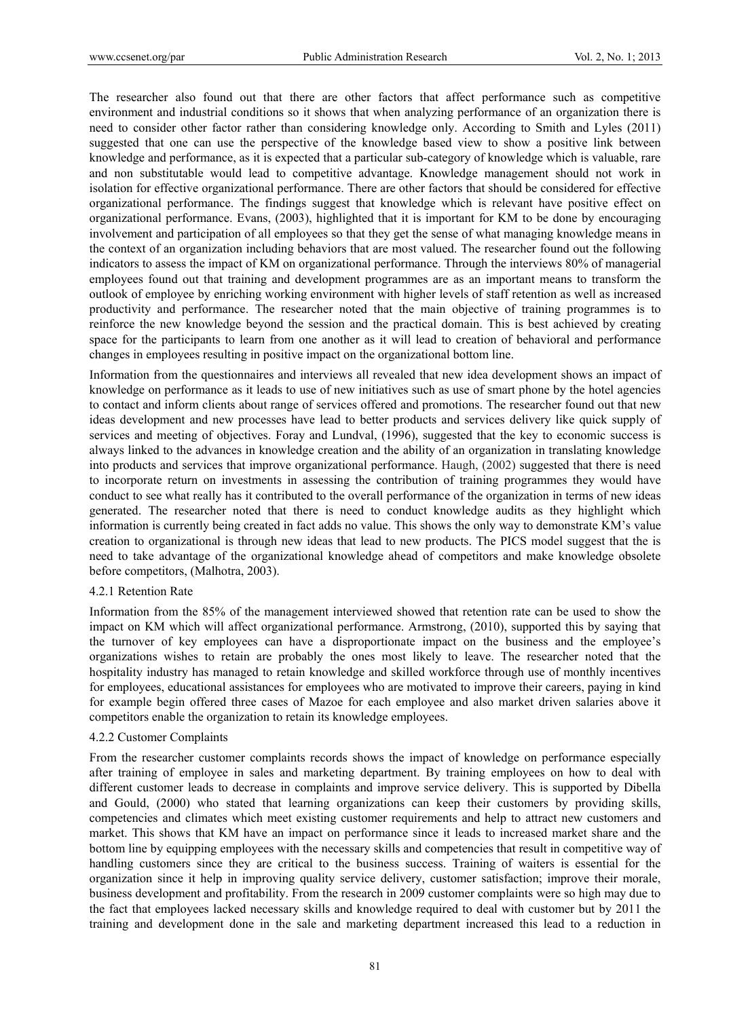The researcher also found out that there are other factors that affect performance such as competitive environment and industrial conditions so it shows that when analyzing performance of an organization there is need to consider other factor rather than considering knowledge only. According to Smith and Lyles (2011) suggested that one can use the perspective of the knowledge based view to show a positive link between knowledge and performance, as it is expected that a particular sub-category of knowledge which is valuable, rare and non substitutable would lead to competitive advantage. Knowledge management should not work in isolation for effective organizational performance. There are other factors that should be considered for effective organizational performance. The findings suggest that knowledge which is relevant have positive effect on organizational performance. Evans, (2003), highlighted that it is important for KM to be done by encouraging involvement and participation of all employees so that they get the sense of what managing knowledge means in the context of an organization including behaviors that are most valued. The researcher found out the following indicators to assess the impact of KM on organizational performance. Through the interviews 80% of managerial employees found out that training and development programmes are as an important means to transform the outlook of employee by enriching working environment with higher levels of staff retention as well as increased productivity and performance. The researcher noted that the main objective of training programmes is to reinforce the new knowledge beyond the session and the practical domain. This is best achieved by creating space for the participants to learn from one another as it will lead to creation of behavioral and performance changes in employees resulting in positive impact on the organizational bottom line.

Information from the questionnaires and interviews all revealed that new idea development shows an impact of knowledge on performance as it leads to use of new initiatives such as use of smart phone by the hotel agencies to contact and inform clients about range of services offered and promotions. The researcher found out that new ideas development and new processes have lead to better products and services delivery like quick supply of services and meeting of objectives. Foray and Lundval, (1996), suggested that the key to economic success is always linked to the advances in knowledge creation and the ability of an organization in translating knowledge into products and services that improve organizational performance. Haugh, (2002) suggested that there is need to incorporate return on investments in assessing the contribution of training programmes they would have conduct to see what really has it contributed to the overall performance of the organization in terms of new ideas generated. The researcher noted that there is need to conduct knowledge audits as they highlight which information is currently being created in fact adds no value. This shows the only way to demonstrate KM's value creation to organizational is through new ideas that lead to new products. The PICS model suggest that the is need to take advantage of the organizational knowledge ahead of competitors and make knowledge obsolete before competitors, (Malhotra, 2003).

# 4.2.1 Retention Rate

Information from the 85% of the management interviewed showed that retention rate can be used to show the impact on KM which will affect organizational performance. Armstrong, (2010), supported this by saying that the turnover of key employees can have a disproportionate impact on the business and the employee's organizations wishes to retain are probably the ones most likely to leave. The researcher noted that the hospitality industry has managed to retain knowledge and skilled workforce through use of monthly incentives for employees, educational assistances for employees who are motivated to improve their careers, paying in kind for example begin offered three cases of Mazoe for each employee and also market driven salaries above it competitors enable the organization to retain its knowledge employees.

#### 4.2.2 Customer Complaints

From the researcher customer complaints records shows the impact of knowledge on performance especially after training of employee in sales and marketing department. By training employees on how to deal with different customer leads to decrease in complaints and improve service delivery. This is supported by Dibella and Gould, (2000) who stated that learning organizations can keep their customers by providing skills, competencies and climates which meet existing customer requirements and help to attract new customers and market. This shows that KM have an impact on performance since it leads to increased market share and the bottom line by equipping employees with the necessary skills and competencies that result in competitive way of handling customers since they are critical to the business success. Training of waiters is essential for the organization since it help in improving quality service delivery, customer satisfaction; improve their morale, business development and profitability. From the research in 2009 customer complaints were so high may due to the fact that employees lacked necessary skills and knowledge required to deal with customer but by 2011 the training and development done in the sale and marketing department increased this lead to a reduction in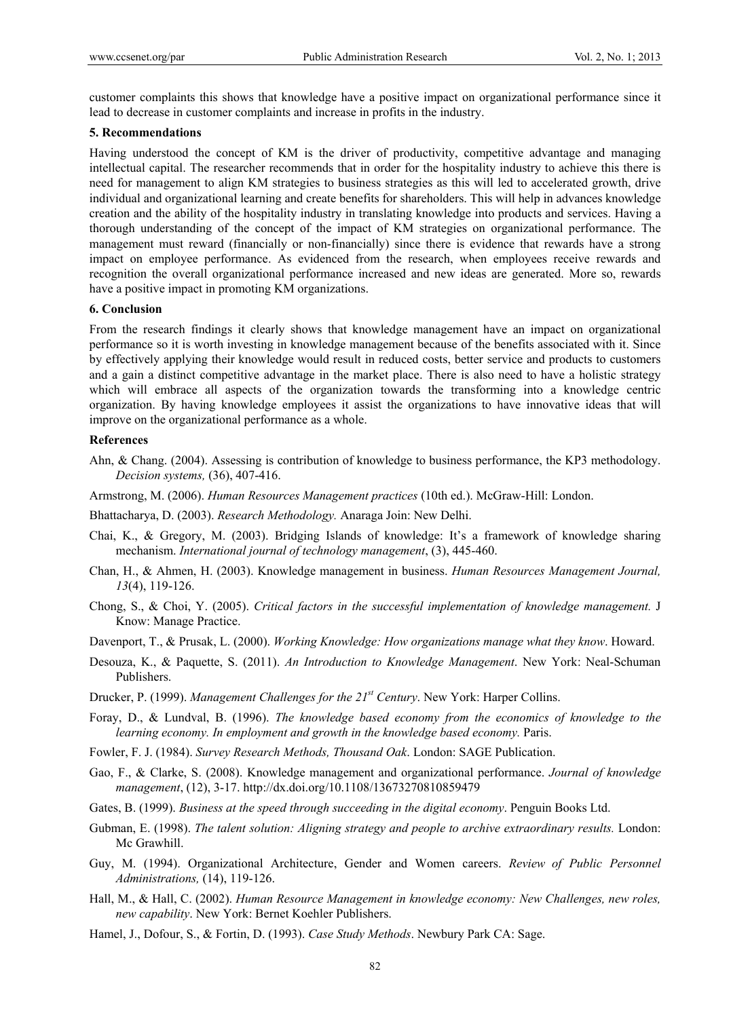customer complaints this shows that knowledge have a positive impact on organizational performance since it lead to decrease in customer complaints and increase in profits in the industry.

#### **5. Recommendations**

Having understood the concept of KM is the driver of productivity, competitive advantage and managing intellectual capital. The researcher recommends that in order for the hospitality industry to achieve this there is need for management to align KM strategies to business strategies as this will led to accelerated growth, drive individual and organizational learning and create benefits for shareholders. This will help in advances knowledge creation and the ability of the hospitality industry in translating knowledge into products and services. Having a thorough understanding of the concept of the impact of KM strategies on organizational performance. The management must reward (financially or non-financially) since there is evidence that rewards have a strong impact on employee performance. As evidenced from the research, when employees receive rewards and recognition the overall organizational performance increased and new ideas are generated. More so, rewards have a positive impact in promoting KM organizations.

## **6. Conclusion**

From the research findings it clearly shows that knowledge management have an impact on organizational performance so it is worth investing in knowledge management because of the benefits associated with it. Since by effectively applying their knowledge would result in reduced costs, better service and products to customers and a gain a distinct competitive advantage in the market place. There is also need to have a holistic strategy which will embrace all aspects of the organization towards the transforming into a knowledge centric organization. By having knowledge employees it assist the organizations to have innovative ideas that will improve on the organizational performance as a whole.

#### **References**

- Ahn, & Chang. (2004). Assessing is contribution of knowledge to business performance, the KP3 methodology. *Decision systems,* (36), 407-416.
- Armstrong, M. (2006). *Human Resources Management practices* (10th ed.). McGraw-Hill: London.
- Bhattacharya, D. (2003). *Research Methodology.* Anaraga Join: New Delhi.
- Chai, K., & Gregory, M. (2003). Bridging Islands of knowledge: It's a framework of knowledge sharing mechanism. *International journal of technology management*, (3), 445-460.
- Chan, H., & Ahmen, H. (2003). Knowledge management in business. *Human Resources Management Journal, 13*(4), 119-126.
- Chong, S., & Choi, Y. (2005). *Critical factors in the successful implementation of knowledge management.* J Know: Manage Practice.
- Davenport, T., & Prusak, L. (2000). *Working Knowledge: How organizations manage what they know*. Howard.
- Desouza, K., & Paquette, S. (2011). *An Introduction to Knowledge Management*. New York: Neal-Schuman Publishers.
- Drucker, P. (1999). *Management Challenges for the 21st Century*. New York: Harper Collins.
- Foray, D., & Lundval, B. (1996). *The knowledge based economy from the economics of knowledge to the learning economy. In employment and growth in the knowledge based economy.* Paris.
- Fowler, F. J. (1984). *Survey Research Methods, Thousand Oak*. London: SAGE Publication.
- Gao, F., & Clarke, S. (2008). Knowledge management and organizational performance. *Journal of knowledge management*, (12), 3-17. http://dx.doi.org/10.1108/13673270810859479
- Gates, B. (1999). *Business at the speed through succeeding in the digital economy*. Penguin Books Ltd.
- Gubman, E. (1998). *The talent solution: Aligning strategy and people to archive extraordinary results.* London: Mc Grawhill.
- Guy, M. (1994). Organizational Architecture, Gender and Women careers. *Review of Public Personnel Administrations,* (14), 119-126.
- Hall, M., & Hall, C. (2002). *Human Resource Management in knowledge economy: New Challenges, new roles, new capability*. New York: Bernet Koehler Publishers.
- Hamel, J., Dofour, S., & Fortin, D. (1993). *Case Study Methods*. Newbury Park CA: Sage.